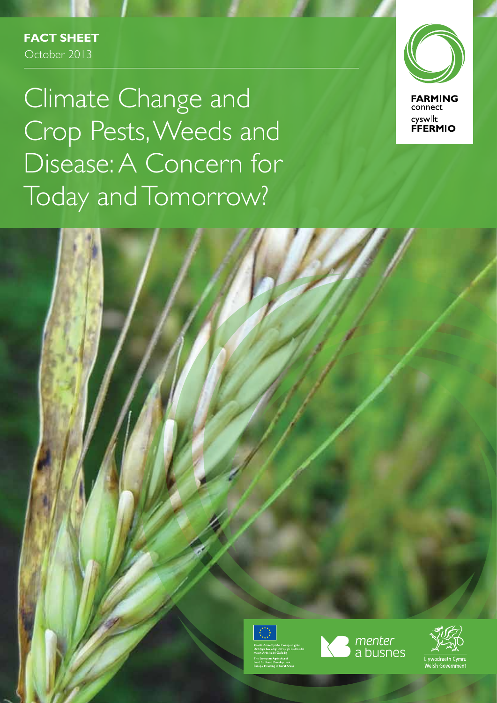**Fact Sheet** October 2013

Climate Change and Crop Pests, Weeds and Disease: A Concern for Today and Tomorrow?



menter<br>a busnes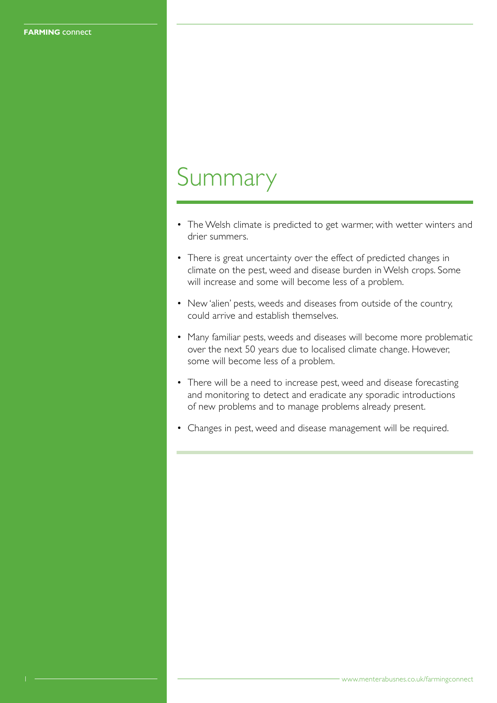## Summary

- The Welsh climate is predicted to get warmer, with wetter winters and drier summers.
- There is great uncertainty over the effect of predicted changes in climate on the pest, weed and disease burden in Welsh crops. Some will increase and some will become less of a problem.
- New 'alien' pests, weeds and diseases from outside of the country, could arrive and establish themselves.
- Many familiar pests, weeds and diseases will become more problematic over the next 50 years due to localised climate change. However, some will become less of a problem.
- There will be a need to increase pest, weed and disease forecasting and monitoring to detect and eradicate any sporadic introductions of new problems and to manage problems already present.
- Changes in pest, weed and disease management will be required.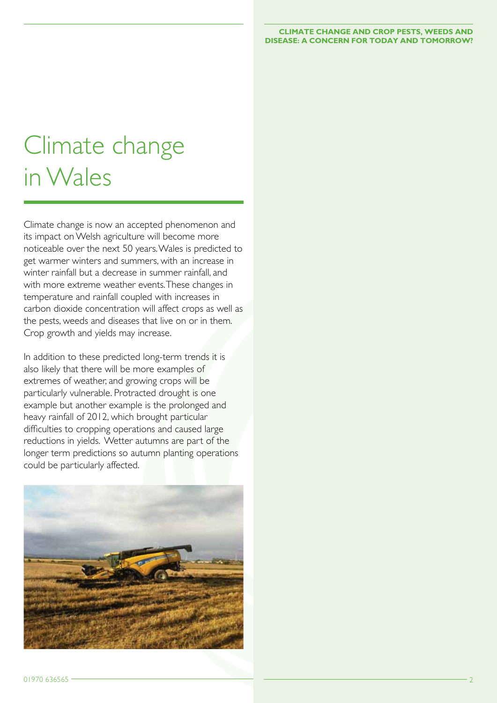# Climate change in Wales

Climate change is now an accepted phenomenon and its impact on Welsh agriculture will become more noticeable over the next 50 years. Wales is predicted to get warmer winters and summers, with an increase in winter rainfall but a decrease in summer rainfall, and with more extreme weather events. These changes in temperature and rainfall coupled with increases in carbon dioxide concentration will affect crops as well as the pests, weeds and diseases that live on or in them. Crop growth and yields may increase.

In addition to these predicted long-term trends it is also likely that there will be more examples of extremes of weather, and growing crops will be particularly vulnerable. Protracted drought is one example but another example is the prolonged and heavy rainfall of 2012, which brought particular difficulties to cropping operations and caused large reductions in yields. Wetter autumns are part of the longer term predictions so autumn planting operations could be particularly affected.

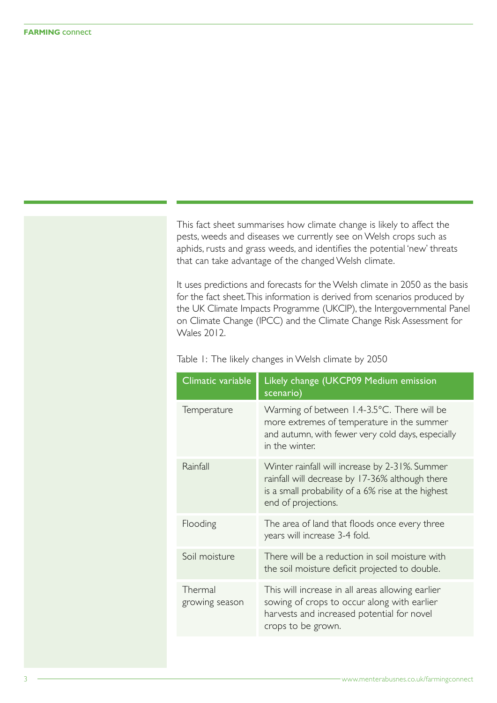This fact sheet summarises how climate change is likely to affect the pests, weeds and diseases we currently see on Welsh crops such as aphids, rusts and grass weeds, and identifies the potential 'new' threats that can take advantage of the changed Welsh climate.

It uses predictions and forecasts for the Welsh climate in 2050 as the basis for the fact sheet. This information is derived from scenarios produced by the UK Climate Impacts Programme (UKCIP), the Intergovernmental Panel on Climate Change (IPCC) and the Climate Change Risk Assessment for Wales 2012.

| Climatic variable         | Likely change (UKCP09 Medium emission<br>scenario)                                                                                                                             |
|---------------------------|--------------------------------------------------------------------------------------------------------------------------------------------------------------------------------|
| Temperature               | Warming of between 1.4-3.5°C. There will be<br>more extremes of temperature in the summer<br>and autumn, with fewer very cold days, especially<br>in the winter.               |
| Rainfall                  | Winter rainfall will increase by 2-31%. Summer<br>rainfall will decrease by 17-36% although there<br>is a small probability of a 6% rise at the highest<br>end of projections. |
| Flooding                  | The area of land that floods once every three<br>years will increase 3-4 fold.                                                                                                 |
| Soil moisture             | There will be a reduction in soil moisture with<br>the soil moisture deficit projected to double.                                                                              |
| Thermal<br>growing season | This will increase in all areas allowing earlier<br>sowing of crops to occur along with earlier<br>harvests and increased potential for novel<br>crops to be grown.            |

Table 1: The likely changes in Welsh climate by 2050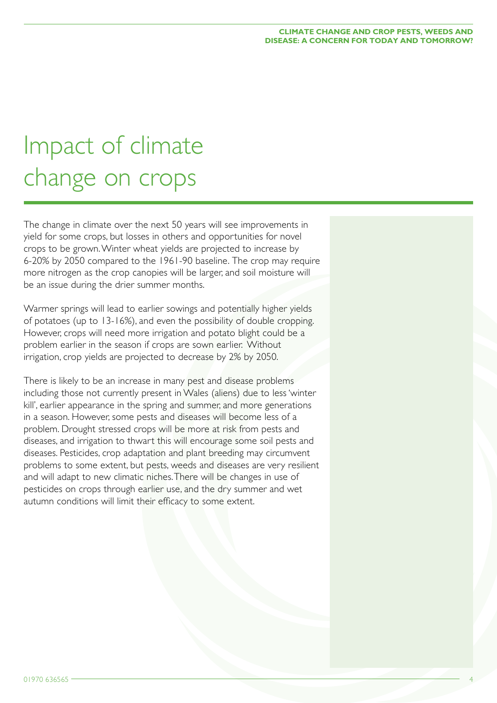# Impact of climate change on crops

The change in climate over the next 50 years will see improvements in yield for some crops, but losses in others and opportunities for novel crops to be grown. Winter wheat yields are projected to increase by 6-20% by 2050 compared to the 1961-90 baseline. The crop may require more nitrogen as the crop canopies will be larger, and soil moisture will be an issue during the drier summer months.

Warmer springs will lead to earlier sowings and potentially higher yields of potatoes (up to 13-16%), and even the possibility of double cropping. However, crops will need more irrigation and potato blight could be a problem earlier in the season if crops are sown earlier. Without irrigation, crop yields are projected to decrease by 2% by 2050.

There is likely to be an increase in many pest and disease problems including those not currently present in Wales (aliens) due to less 'winter kill', earlier appearance in the spring and summer, and more generations in a season. However, some pests and diseases will become less of a problem. Drought stressed crops will be more at risk from pests and diseases, and irrigation to thwart this will encourage some soil pests and diseases. Pesticides, crop adaptation and plant breeding may circumvent problems to some extent, but pests, weeds and diseases are very resilient and will adapt to new climatic niches. There will be changes in use of pesticides on crops through earlier use, and the dry summer and wet autumn conditions will limit their efficacy to some extent.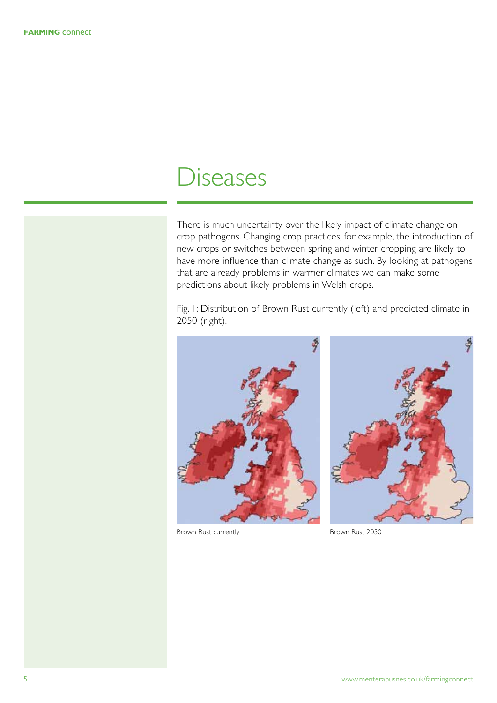### Diseases

There is much uncertainty over the likely impact of climate change on crop pathogens. Changing crop practices, for example, the introduction of new crops or switches between spring and winter cropping are likely to have more influence than climate change as such. By looking at pathogens that are already problems in warmer climates we can make some predictions about likely problems in Welsh crops.

Fig. 1: Distribution of Brown Rust currently (left) and predicted climate in 2050 (right).



Brown Rust currently **Brown Rust 2050** 

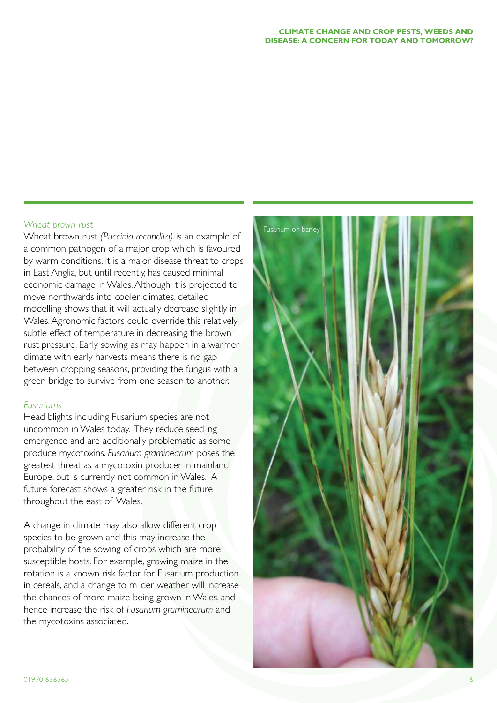### *Wheat brown rust*

Wheat brown rust *(Puccinia recondita)* is an example of a common pathogen of a major crop which is favoured by warm conditions. It is a major disease threat to crops in East Anglia, but until recently, has caused minimal economic damage in Wales. Although it is projected to move northwards into cooler climates, detailed modelling shows that it will actually decrease slightly in Wales. Agronomic factors could override this relatively subtle effect of temperature in decreasing the brown rust pressure. Early sowing as may happen in a warmer climate with early harvests means there is no gap between cropping seasons, providing the fungus with a green bridge to survive from one season to another.

#### *Fusariums*

Head blights including Fusarium species are not uncommon in Wales today. They reduce seedling emergence and are additionally problematic as some produce mycotoxins. *Fusarium graminearum* poses the greatest threat as a mycotoxin producer in mainland Europe, but is currently not common in Wales. A future forecast shows a greater risk in the future throughout the east of Wales.

A change in climate may also allow different crop species to be grown and this may increase the probability of the sowing of crops which are more susceptible hosts. For example, growing maize in the rotation is a known risk factor for Fusarium production in cereals, and a change to milder weather will increase the chances of more maize being grown in Wales, and hence increase the risk of *Fusarium graminearum* and the mycotoxins associated.

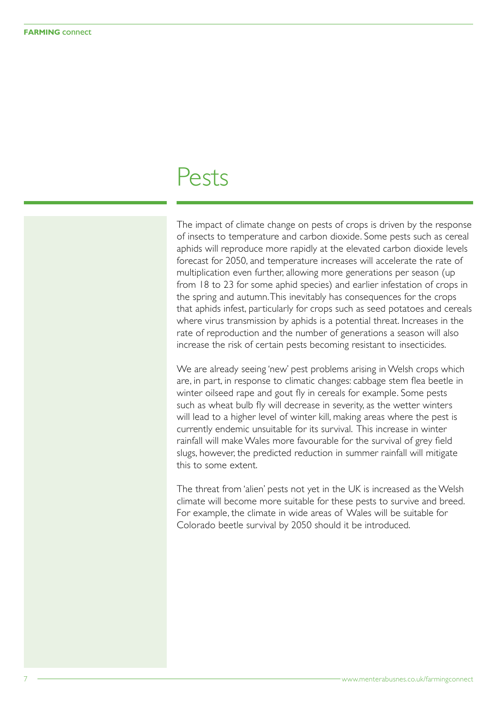### Pests

The impact of climate change on pests of crops is driven by the response of insects to temperature and carbon dioxide. Some pests such as cereal aphids will reproduce more rapidly at the elevated carbon dioxide levels forecast for 2050, and temperature increases will accelerate the rate of multiplication even further, allowing more generations per season (up from 18 to 23 for some aphid species) and earlier infestation of crops in the spring and autumn. This inevitably has consequences for the crops that aphids infest, particularly for crops such as seed potatoes and cereals where virus transmission by aphids is a potential threat. Increases in the rate of reproduction and the number of generations a season will also increase the risk of certain pests becoming resistant to insecticides.

We are already seeing 'new' pest problems arising in Welsh crops which are, in part, in response to climatic changes: cabbage stem flea beetle in winter oilseed rape and gout fly in cereals for example. Some pests such as wheat bulb fly will decrease in severity, as the wetter winters will lead to a higher level of winter kill, making areas where the pest is currently endemic unsuitable for its survival. This increase in winter rainfall will make Wales more favourable for the survival of grey field slugs, however, the predicted reduction in summer rainfall will mitigate this to some extent.

The threat from 'alien' pests not yet in the UK is increased as the Welsh climate will become more suitable for these pests to survive and breed. For example, the climate in wide areas of Wales will be suitable for Colorado beetle survival by 2050 should it be introduced.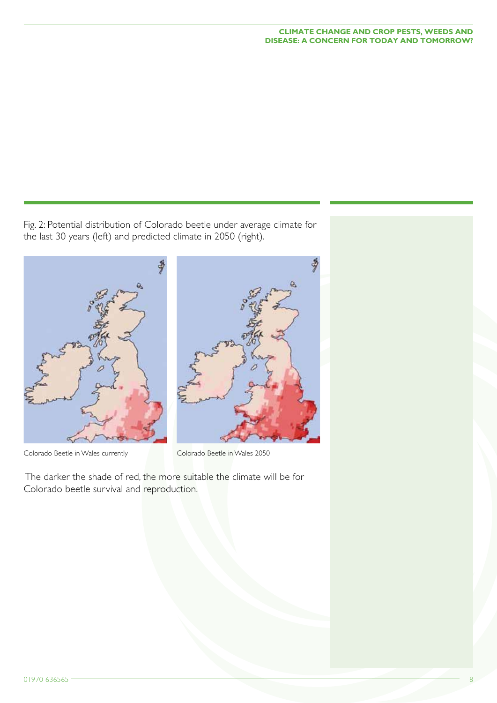\$

ē.

Fig. 2: Potential distribution of Colorado beetle under average climate for the last 30 years (left) and predicted climate in 2050 (right).



Colorado Beetle in Wales currently Colorado Beetle in Wales 2050

 The darker the shade of red, the more suitable the climate will be for Colorado beetle survival and reproduction.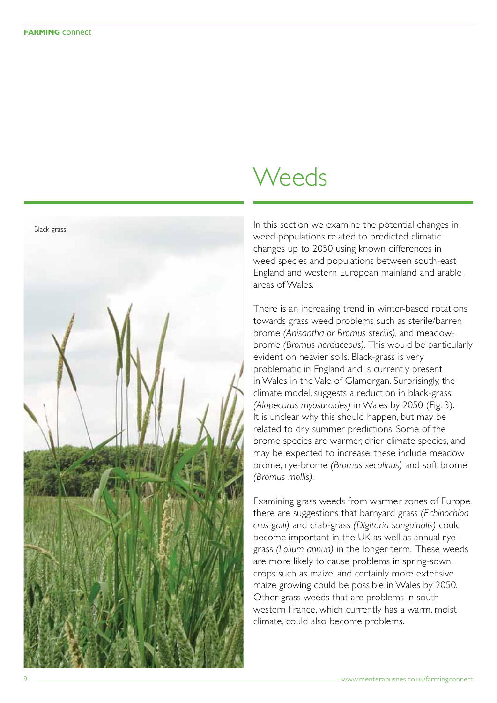

## Weeds

In this section we examine the potential changes in weed populations related to predicted climatic changes up to 2050 using known differences in weed species and populations between south-east England and western European mainland and arable areas of Wales.

There is an increasing trend in winter-based rotations towards grass weed problems such as sterile/barren brome *(Anisantha or Bromus sterilis),* and meadowbrome *(Bromus hordaceous).* This would be particularly evident on heavier soils. Black-grass is very problematic in England and is currently present in Wales in the Vale of Glamorgan. Surprisingly, the climate model, suggests a reduction in black-grass *(Alopecurus myosuroides)* in Wales by 2050 (Fig. 3). It is unclear why this should happen, but may be related to dry summer predictions. Some of the brome species are warmer, drier climate species, and may be expected to increase: these include meadow brome, rye-brome *(Bromus secalinus)* and soft brome *(Bromus mollis).*

Examining grass weeds from warmer zones of Europe there are suggestions that barnyard grass *(Echinochloa crus-galli)* and crab-grass *(Digitaria sanguinalis)* could become important in the UK as well as annual ryegrass *(Lolium annua)* in the longer term. These weeds are more likely to cause problems in spring-sown crops such as maize, and certainly more extensive maize growing could be possible in Wales by 2050. Other grass weeds that are problems in south western France, which currently has a warm, moist climate, could also become problems.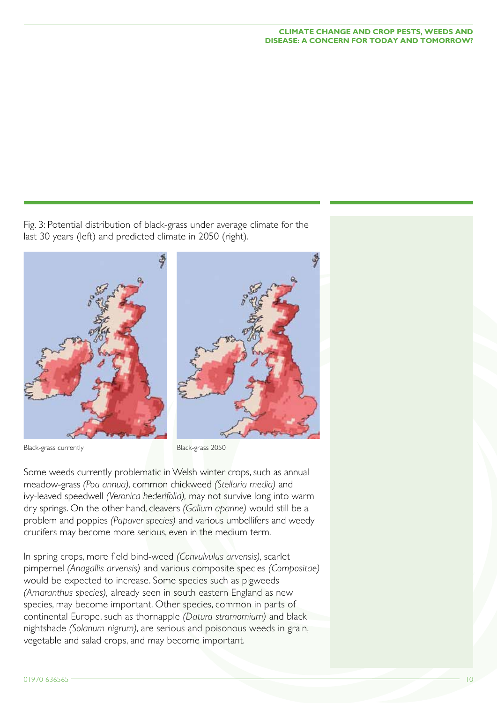Fig. 3: Potential distribution of black-grass under average climate for the last 30 years (left) and predicted climate in 2050 (right).



Some weeds currently problematic in Welsh winter crops, such as annual meadow-grass *(Poa annua),* common chickweed *(Stellaria media)* and ivy-leaved speedwell *(Veronica hederifolia),* may not survive long into warm dry springs. On the other hand, cleavers *(Galium aparine)* would still be a problem and poppies *(Papaver species)* and various umbellifers and weedy crucifers may become more serious, even in the medium term.

In spring crops, more field bind-weed *(Convulvulus arvensis),* scarlet pimpernel *(Anagallis arvensis)* and various composite species *(Compositae)* would be expected to increase. Some species such as pigweeds *(Amaranthus species),* already seen in south eastern England as new species, may become important. Other species, common in parts of continental Europe, such as thornapple *(Datura stramomium)* and black nightshade *(Solanum nigrum),* are serious and poisonous weeds in grain, vegetable and salad crops, and may become important.